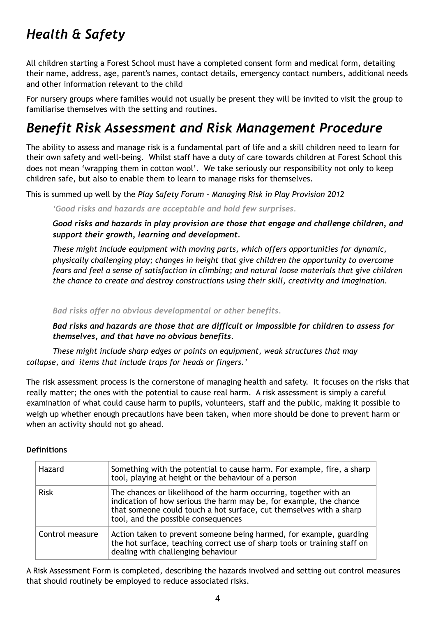# *Health & Safety*

All children starting a Forest School must have a completed consent form and medical form, detailing their name, address, age, parent's names, contact details, emergency contact numbers, additional needs and other information relevant to the child

For nursery groups where families would not usually be present they will be invited to visit the group to familiarise themselves with the setting and routines.

# *Benefit Risk Assessment and Risk Management Procedure*

The ability to assess and manage risk is a fundamental part of life and a skill children need to learn for their own safety and well-being. Whilst staff have a duty of care towards children at Forest School this does not mean 'wrapping them in cotton wool'. We take seriously our responsibility not only to keep children safe, but also to enable them to learn to manage risks for themselves.

This is summed up well by the *Play Safety Forum - Managing Risk in Play Provision 2012*

*'Good risks and hazards are acceptable and hold few surprises.* 

*Good risks and hazards in play provision are those that engage and challenge children, and support their growth, learning and development.* 

*These might include equipment with moving parts, which offers opportunities for dynamic, physically challenging play; changes in height that give children the opportunity to overcome fears and feel a sense of satisfaction in climbing; and natural loose materials that give children the chance to create and destroy constructions using their skill, creativity and imagination.* 

*Bad risks offer no obvious developmental or other benefits.* 

*Bad risks and hazards are those that are difficult or impossible for children to assess for themselves, and that have no obvious benefits.* 

*These might include sharp edges or points on equipment, weak structures that may collapse, and items that include traps for heads or fingers.'* 

The risk assessment process is the cornerstone of managing health and safety. It focuses on the risks that really matter; the ones with the potential to cause real harm. A risk assessment is simply a careful examination of what could cause harm to pupils, volunteers, staff and the public, making it possible to weigh up whether enough precautions have been taken, when more should be done to prevent harm or when an activity should not go ahead.

## **Definitions**

| Hazard          | Something with the potential to cause harm. For example, fire, a sharp<br>tool, playing at height or the behaviour of a person                                                                                                                        |
|-----------------|-------------------------------------------------------------------------------------------------------------------------------------------------------------------------------------------------------------------------------------------------------|
| <b>Risk</b>     | The chances or likelihood of the harm occurring, together with an<br>indication of how serious the harm may be, for example, the chance<br>that someone could touch a hot surface, cut themselves with a sharp<br>tool, and the possible consequences |
| Control measure | Action taken to prevent someone being harmed, for example, guarding<br>the hot surface, teaching correct use of sharp tools or training staff on<br>dealing with challenging behaviour                                                                |

A Risk Assessment Form is completed, describing the hazards involved and setting out control measures that should routinely be employed to reduce associated risks.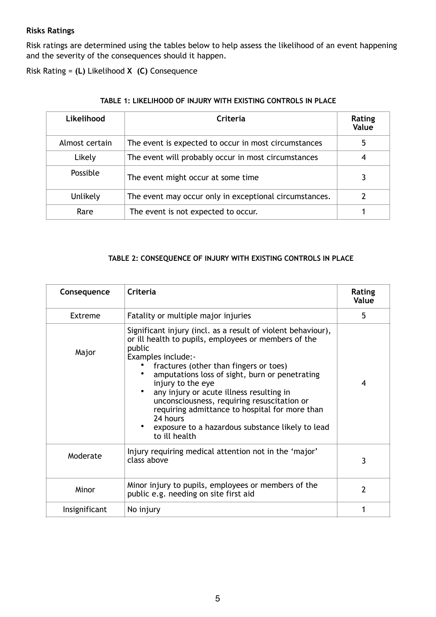## **Risks Ratings**

Risk ratings are determined using the tables below to help assess the likelihood of an event happening and the severity of the consequences should it happen.

Risk Rating = **(L)** Likelihood **X (C)** Consequence

| Likelihood     | Criteria                                               | Rating<br>Value |
|----------------|--------------------------------------------------------|-----------------|
| Almost certain | The event is expected to occur in most circumstances   |                 |
| Likely         | The event will probably occur in most circumstances    |                 |
| Possible       | The event might occur at some time                     |                 |
| Unlikely       | The event may occur only in exceptional circumstances. |                 |
| Rare           | The event is not expected to occur.                    |                 |

#### **TABLE 1: LIKELIHOOD OF INJURY WITH EXISTING CONTROLS IN PLACE**

### **TABLE 2: CONSEQUENCE OF INJURY WITH EXISTING CONTROLS IN PLACE**

| Consequence   | Criteria                                                                                                                                                                                                                                                                                                                                                                                                                                                                                            | Rating<br>Value |
|---------------|-----------------------------------------------------------------------------------------------------------------------------------------------------------------------------------------------------------------------------------------------------------------------------------------------------------------------------------------------------------------------------------------------------------------------------------------------------------------------------------------------------|-----------------|
| Extreme       | Fatality or multiple major injuries                                                                                                                                                                                                                                                                                                                                                                                                                                                                 | 5               |
| Major         | Significant injury (incl. as a result of violent behaviour),<br>or ill health to pupils, employees or members of the<br>public<br>Examples include:-<br>fractures (other than fingers or toes)<br>amputations loss of sight, burn or penetrating<br>injury to the eye<br>any injury or acute illness resulting in<br>unconsciousness, requiring resuscitation or<br>requiring admittance to hospital for more than<br>24 hours<br>exposure to a hazardous substance likely to lead<br>to ill health | 4               |
| Moderate      | Injury requiring medical attention not in the 'major'<br>class above                                                                                                                                                                                                                                                                                                                                                                                                                                | 3               |
| Minor         | Minor injury to pupils, employees or members of the<br>public e.g. needing on site first aid                                                                                                                                                                                                                                                                                                                                                                                                        | $\mathcal{P}$   |
| Insignificant | No injury                                                                                                                                                                                                                                                                                                                                                                                                                                                                                           |                 |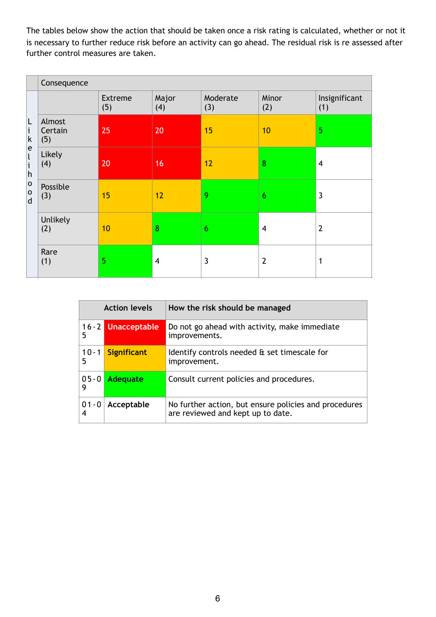The tables below show the action that should be taken once a risk rating is calculated, whether or not it is necessary to further reduce risk before an activity can go ahead. The residual risk is re assessed after further control measures are taken.

|                                                                                                                            | Consequence              |                       |              |                 |                |                      |
|----------------------------------------------------------------------------------------------------------------------------|--------------------------|-----------------------|--------------|-----------------|----------------|----------------------|
| L<br>i<br>$\sf k$<br>e<br>$\overline{\mathfrak{l}}$<br>$\mathbf{i}$<br>h<br>$\mathsf{o}$<br>$\mathsf{o}$<br>$\overline{d}$ |                          | <b>Extreme</b><br>(5) | Major<br>(4) | Moderate<br>(3) | Minor<br>(2)   | Insignificant<br>(1) |
|                                                                                                                            | Almost<br>Certain<br>(5) | 25                    | 20           | 15              | 10             | 5                    |
|                                                                                                                            | Likely<br>(4)            | 20                    | 16           | 12              | 8              | $\overline{4}$       |
|                                                                                                                            | Possible<br>(3)          | 15                    | 12           | 9               | 6              | $\overline{3}$       |
|                                                                                                                            | Unlikely<br>(2)          | 10                    | 8            | 6               | $\overline{4}$ | $\overline{2}$       |
|                                                                                                                            | Rare<br>(1)              | 5                     | 4            | $\mathbf{3}$    | $\overline{2}$ | 1                    |

| <b>Action levels</b> |                    | How the risk should be managed                                                             |  |  |
|----------------------|--------------------|--------------------------------------------------------------------------------------------|--|--|
| 5                    | 16-2 Unacceptable  | Do not go ahead with activity, make immediate<br>improvements.                             |  |  |
| $10 - 1$<br>5        | <b>Significant</b> | Identify controls needed & set timescale for<br>improvement.                               |  |  |
| $05 - 0$<br>9        | <b>Adequate</b>    | Consult current policies and procedures.                                                   |  |  |
| $01 - 0$<br>4        | Acceptable         | No further action, but ensure policies and procedures<br>are reviewed and kept up to date. |  |  |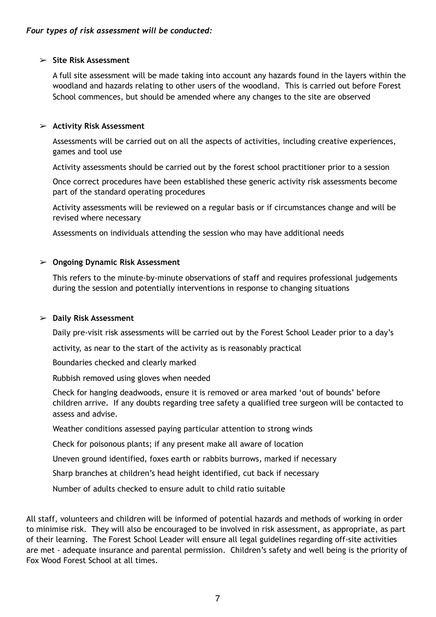### ➢ **Site Risk Assessment**

A full site assessment will be made taking into account any hazards found in the layers within the woodland and hazards relating to other users of the woodland. This is carried out before Forest School commences, but should be amended where any changes to the site are observed

### ➢ **Activity Risk Assessment**

Assessments will be carried out on all the aspects of activities, including creative experiences, games and tool use

Activity assessments should be carried out by the forest school practitioner prior to a session

Once correct procedures have been established these generic activity risk assessments become part of the standard operating procedures

Activity assessments will be reviewed on a regular basis or if circumstances change and will be revised where necessary

Assessments on individuals attending the session who may have additional needs

### ➢ **Ongoing Dynamic Risk Assessment**

This refers to the minute-by-minute observations of staff and requires professional judgements during the session and potentially interventions in response to changing situations

#### ➢ **Daily Risk Assessment**

Daily pre-visit risk assessments will be carried out by the Forest School Leader prior to a day's

activity, as near to the start of the activity as is reasonably practical

Boundaries checked and clearly marked

Rubbish removed using gloves when needed

Check for hanging deadwoods, ensure it is removed or area marked 'out of bounds' before children arrive. If any doubts regarding tree safety a qualified tree surgeon will be contacted to assess and advise.

Weather conditions assessed paying particular attention to strong winds

Check for poisonous plants; if any present make all aware of location

Uneven ground identified, foxes earth or rabbits burrows, marked if necessary

Sharp branches at children's head height identified, cut back if necessary

Number of adults checked to ensure adult to child ratio suitable

All staff, volunteers and children will be informed of potential hazards and methods of working in order to minimise risk. They will also be encouraged to be involved in risk assessment, as appropriate, as part of their learning. The Forest School Leader will ensure all legal guidelines regarding off-site activities are met - adequate insurance and parental permission. Children's safety and well being is the priority of Fox Wood Forest School at all times.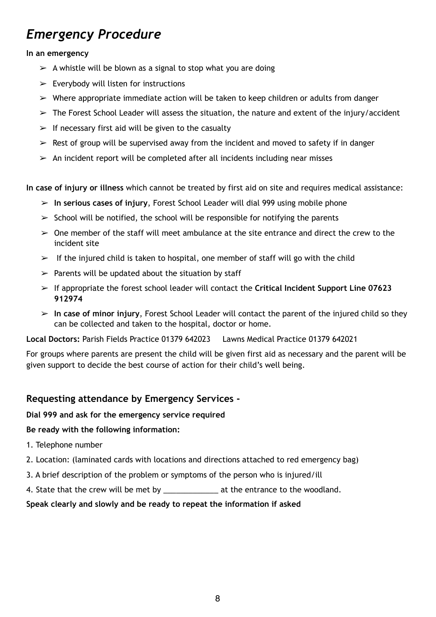# *Emergency Procedure*

## **In an emergency**

- $\triangleright$  A whistle will be blown as a signal to stop what you are doing
- $\triangleright$  Everybody will listen for instructions
- $\triangleright$  Where appropriate immediate action will be taken to keep children or adults from danger
- $\triangleright$  The Forest School Leader will assess the situation, the nature and extent of the injury/accident
- $\triangleright$  If necessary first aid will be given to the casualty
- $\geq$  Rest of group will be supervised away from the incident and moved to safety if in danger
- $\geq$  An incident report will be completed after all incidents including near misses

**In case of injury or illness** which cannot be treated by first aid on site and requires medical assistance:

- ➢ **In serious cases of injury**, Forest School Leader will dial 999 using mobile phone
- $\geq$  School will be notified, the school will be responsible for notifying the parents
- $\geq$  One member of the staff will meet ambulance at the site entrance and direct the crew to the incident site
- $\triangleright$  If the injured child is taken to hospital, one member of staff will go with the child
- $\triangleright$  Parents will be updated about the situation by staff
- ➢ If appropriate the forest school leader will contact the **Critical Incident Support Line 07623 912974**
- ➢ **In case of minor injury**, Forest School Leader will contact the parent of the injured child so they can be collected and taken to the hospital, doctor or home.

**Local Doctors:** Parish Fields Practice 01379 642023 Lawns Medical Practice [01379 642021](http://www.lawnsgp.com/contact1.aspx?p=D82022)

For groups where parents are present the child will be given first aid as necessary and the parent will be given support to decide the best course of action for their child's well being.

## **Requesting attendance by Emergency Services -**

## **Dial 999 and ask for the emergency service required**

## **Be ready with the following information:**

- 1. Telephone number
- 2. Location: (laminated cards with locations and directions attached to red emergency bag)
- 3. A brief description of the problem or symptoms of the person who is injured/ill
- 4. State that the crew will be met by \_\_\_\_\_\_\_\_\_\_\_\_\_\_\_ at the entrance to the woodland.

## **Speak clearly and slowly and be ready to repeat the information if asked**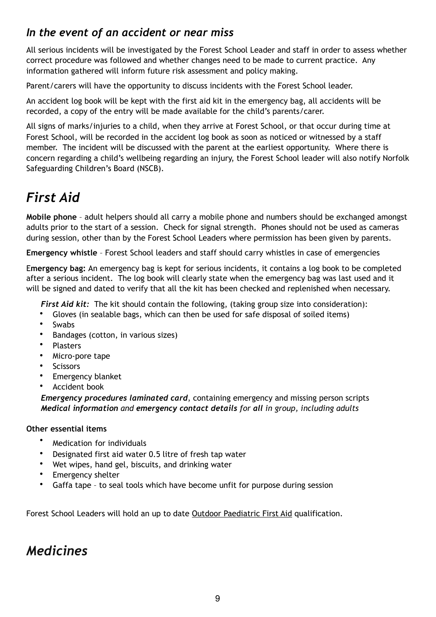## *In the event of an accident or near miss*

All serious incidents will be investigated by the Forest School Leader and staff in order to assess whether correct procedure was followed and whether changes need to be made to current practice. Any information gathered will inform future risk assessment and policy making.

Parent/carers will have the opportunity to discuss incidents with the Forest School leader.

An accident log book will be kept with the first aid kit in the emergency bag, all accidents will be recorded, a copy of the entry will be made available for the child's parents/carer.

All signs of marks/injuries to a child, when they arrive at Forest School, or that occur during time at Forest School, will be recorded in the accident log book as soon as noticed or witnessed by a staff member. The incident will be discussed with the parent at the earliest opportunity. Where there is concern regarding a child's wellbeing regarding an injury, the Forest School leader will also notify Norfolk Safeguarding Children's Board (NSCB).

# *First Aid*

**Mobile phone** – adult helpers should all carry a mobile phone and numbers should be exchanged amongst adults prior to the start of a session. Check for signal strength. Phones should not be used as cameras during session, other than by the Forest School Leaders where permission has been given by parents.

**Emergency whistle** – Forest School leaders and staff should carry whistles in case of emergencies

E**mergency bag:** An emergency bag is kept for serious incidents, it contains a log book to be completed after a serious incident. The log book will clearly state when the emergency bag was last used and it will be signed and dated to verify that all the kit has been checked and replenished when necessary.

 *First Aid kit:* The kit should contain the following, (taking group size into consideration):

- Gloves (in sealable bags, which can then be used for safe disposal of soiled items)
- Swabs
- Bandages (cotton, in various sizes)
- Plasters
- Micro-pore tape
- **Scissors**
- Emergency blanket
- Accident book

 *Emergency procedures laminated card*, containing emergency and missing person scripts  *Medical information and emergency contact details for all in group, including adults*

## **Other essential items**

- Medication for individuals
- Designated first aid water 0.5 litre of fresh tap water
- Wet wipes, hand gel, biscuits, and drinking water
- Emergency shelter
- Gaffa tape to seal tools which have become unfit for purpose during session

Forest School Leaders will hold an up to date Outdoor Paediatric First Aid qualification.

## *Medicines*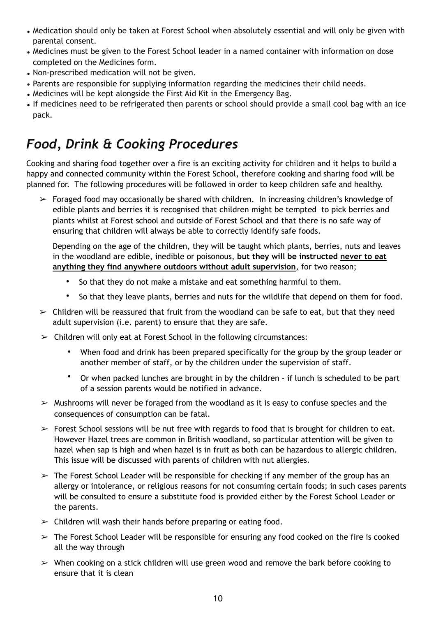- Medication should only be taken at Forest School when absolutely essential and will only be given with parental consent.
- Medicines must be given to the Forest School leader in a named container with information on dose completed on the Medicines form.
- Non-prescribed medication will not be given.
- Parents are responsible for supplying information regarding the medicines their child needs.
- Medicines will be kept alongside the First Aid Kit in the Emergency Bag.
- If medicines need to be refrigerated then parents or school should provide a small cool bag with an ice pack.

# *Food, Drink & Cooking Procedures*

Cooking and sharing food together over a fire is an exciting activity for children and it helps to build a happy and connected community within the Forest School, therefore cooking and sharing food will be planned for. The following procedures will be followed in order to keep children safe and healthy.

 $\triangleright$  Foraged food may occasionally be shared with children. In increasing children's knowledge of edible plants and berries it is recognised that children might be tempted to pick berries and plants whilst at Forest school and outside of Forest School and that there is no safe way of ensuring that children will always be able to correctly identify safe foods.

Depending on the age of the children, they will be taught which plants, berries, nuts and leaves in the woodland are edible, inedible or poisonous, **but they will be instructed never to eat anything they find anywhere outdoors without adult supervision**, for two reason;

- So that they do not make a mistake and eat something harmful to them.
- So that they leave plants, berries and nuts for the wildlife that depend on them for food.
- $\geq$  Children will be reassured that fruit from the woodland can be safe to eat, but that they need adult supervision (i.e. parent) to ensure that they are safe.
- $\triangleright$  Children will only eat at Forest School in the following circumstances:
	- When food and drink has been prepared specifically for the group by the group leader or another member of staff, or by the children under the supervision of staff.
	- Or when packed lunches are brought in by the children if lunch is scheduled to be part of a session parents would be notified in advance.
- $\triangleright$  Mushrooms will never be foraged from the woodland as it is easy to confuse species and the consequences of consumption can be fatal.
- $\triangleright$  Forest School sessions will be nut free with regards to food that is brought for children to eat. However Hazel trees are common in British woodland, so particular attention will be given to hazel when sap is high and when hazel is in fruit as both can be hazardous to allergic children. This issue will be discussed with parents of children with nut allergies.
- $\geq$  The Forest School Leader will be responsible for checking if any member of the group has an allergy or intolerance, or religious reasons for not consuming certain foods; in such cases parents will be consulted to ensure a substitute food is provided either by the Forest School Leader or the parents.
- $\triangleright$  Children will wash their hands before preparing or eating food.
- $\geq$  The Forest School Leader will be responsible for ensuring any food cooked on the fire is cooked all the way through
- $\triangleright$  When cooking on a stick children will use green wood and remove the bark before cooking to ensure that it is clean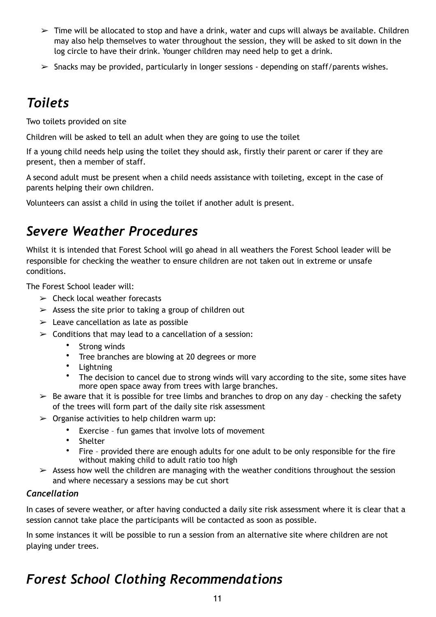- $\geq$  Time will be allocated to stop and have a drink, water and cups will always be available. Children may also help themselves to water throughout the session, they will be asked to sit down in the log circle to have their drink. Younger children may need help to get a drink.
- $\geq$  Snacks may be provided, particularly in longer sessions depending on staff/parents wishes.

# *Toilets*

Two toilets provided on site

Children will be asked to **t**ell an adult when they are going to use the toilet

If a young child needs help using the toilet they should ask, firstly their parent or carer if they are present, then a member of staff.

A second adult must be present when a child needs assistance with toileting, except in the case of parents helping their own children.

Volunteers can assist a child in using the toilet if another adult is present.

## *Severe Weather Procedures*

Whilst it is intended that Forest School will go ahead in all weathers the Forest School leader will be responsible for checking the weather to ensure children are not taken out in extreme or unsafe conditions.

The Forest School leader will:

- $\geq$  Check local weather forecasts
- $\geq$  Assess the site prior to taking a group of children out
- $\geq$  Leave cancellation as late as possible
- $\geq$  Conditions that may lead to a cancellation of a session:
	- Strong winds
	- Tree branches are blowing at 20 degrees or more
	- Lightning
	- The decision to cancel due to strong winds will vary according to the site, some sites have more open space away from trees with large branches.
- $\triangleright$  Be aware that it is possible for tree limbs and branches to drop on any day checking the safety of the trees will form part of the daily site risk assessment
- $\triangleright$  Organise activities to help children warm up:
	- Exercise fun games that involve lots of movement
	- Shelter
	- Fire provided there are enough adults for one adult to be only responsible for the fire without making child to adult ratio too high
- $\triangleright$  Assess how well the children are managing with the weather conditions throughout the session and where necessary a sessions may be cut short

## *Cancellation*

In cases of severe weather, or after having conducted a daily site risk assessment where it is clear that a session cannot take place the participants will be contacted as soon as possible.

In some instances it will be possible to run a session from an alternative site where children are not playing under trees.

# *Forest School Clothing Recommendations*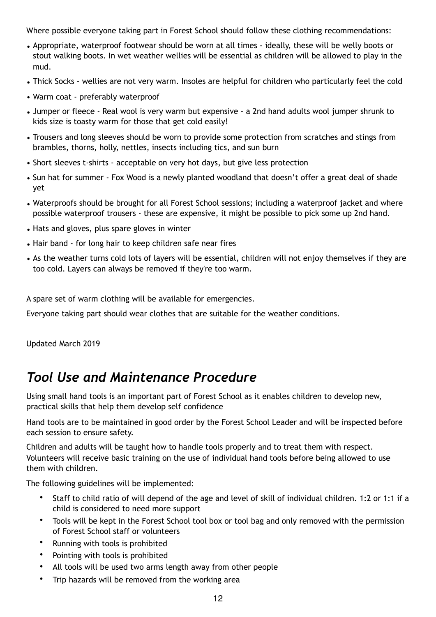Where possible everyone taking part in Forest School should follow these clothing recommendations:

- Appropriate, waterproof footwear should be worn at all times ideally, these will be welly boots or stout walking boots. In wet weather wellies will be essential as children will be allowed to play in the mud.
- Thick Socks wellies are not very warm. Insoles are helpful for children who particularly feel the cold
- Warm coat preferably waterproof
- Jumper or fleece Real wool is very warm but expensive a 2nd hand adults wool jumper shrunk to kids size is toasty warm for those that get cold easily!
- Trousers and long sleeves should be worn to provide some protection from scratches and stings from brambles, thorns, holly, nettles, insects including tics, and sun burn
- Short sleeves t-shirts acceptable on very hot days, but give less protection
- Sun hat for summer Fox Wood is a newly planted woodland that doesn't offer a great deal of shade yet
- Waterproofs should be brought for all Forest School sessions; including a waterproof jacket and where possible waterproof trousers - these are expensive, it might be possible to pick some up 2nd hand.
- Hats and gloves, plus spare gloves in winter
- Hair band for long hair to keep children safe near fires
- As the weather turns cold lots of layers will be essential, children will not enjoy themselves if they are too cold. Layers can always be removed if they're too warm.

A spare set of warm clothing will be available for emergencies.

Everyone taking part should wear clothes that are suitable for the weather conditions.

Updated March 2019

## *Tool Use and Maintenance Procedure*

Using small hand tools is an important part of Forest School as it enables children to develop new, practical skills that help them develop self confidence

Hand tools are to be maintained in good order by the Forest School Leader and will be inspected before each session to ensure safety.

Children and adults will be taught how to handle tools properly and to treat them with respect. Volunteers will receive basic training on the use of individual hand tools before being allowed to use them with children.

The following guidelines will be implemented:

- Staff to child ratio of will depend of the age and level of skill of individual children. 1:2 or 1:1 if a child is considered to need more support
- Tools will be kept in the Forest School tool box or tool bag and only removed with the permission of Forest School staff or volunteers
- Running with tools is prohibited
- Pointing with tools is prohibited
- All tools will be used two arms length away from other people
- Trip hazards will be removed from the working area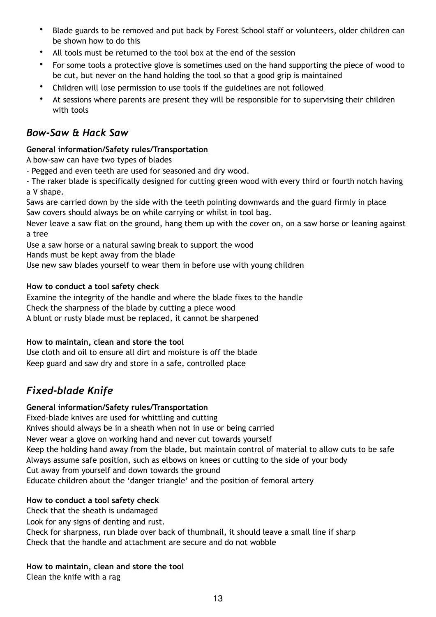- Blade guards to be removed and put back by Forest School staff or volunteers, older children can be shown how to do this
- All tools must be returned to the tool box at the end of the session
- For some tools a protective glove is sometimes used on the hand supporting the piece of wood to be cut, but never on the hand holding the tool so that a good grip is maintained
- Children will lose permission to use tools if the guidelines are not followed
- At sessions where parents are present they will be responsible for to supervising their children with tools

## *Bow-Saw & Hack Saw*

## **General information/Safety rules/Transportation**

A bow-saw can have two types of blades

- Pegged and even teeth are used for seasoned and dry wood.

- The raker blade is specifically designed for cutting green wood with every third or fourth notch having a V shape.

Saws are carried down by the side with the teeth pointing downwards and the guard firmly in place Saw covers should always be on while carrying or whilst in tool bag.

Never leave a saw flat on the ground, hang them up with the cover on, on a saw horse or leaning against a tree

Use a saw horse or a natural sawing break to support the wood

Hands must be kept away from the blade

Use new saw blades yourself to wear them in before use with young children

## **How to conduct a tool safety check**

Examine the integrity of the handle and where the blade fixes to the handle Check the sharpness of the blade by cutting a piece wood A blunt or rusty blade must be replaced, it cannot be sharpened

## **How to maintain, clean and store the tool**

Use cloth and oil to ensure all dirt and moisture is off the blade Keep guard and saw dry and store in a safe, controlled place

## *Fixed-blade Knife*

## **General information/Safety rules/Transportation**

Fixed-blade knives are used for whittling and cutting Knives should always be in a sheath when not in use or being carried Never wear a glove on working hand and never cut towards yourself Keep the holding hand away from the blade, but maintain control of material to allow cuts to be safe Always assume safe position, such as elbows on knees or cutting to the side of your body Cut away from yourself and down towards the ground Educate children about the 'danger triangle' and the position of femoral artery

## **How to conduct a tool safety check**

Check that the sheath is undamaged

Look for any signs of denting and rust.

Check for sharpness, run blade over back of thumbnail, it should leave a small line if sharp Check that the handle and attachment are secure and do not wobble

**How to maintain, clean and store the tool**  Clean the knife with a rag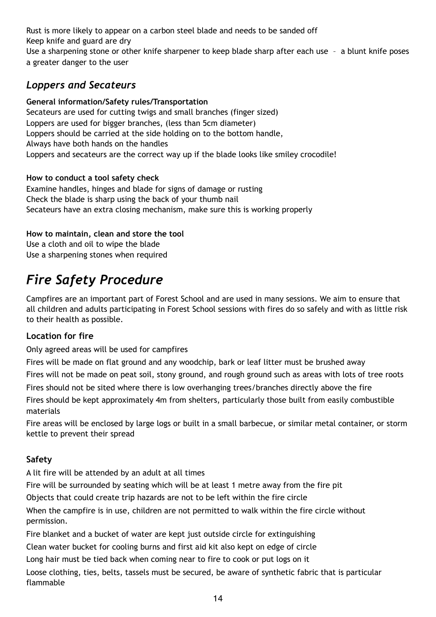Rust is more likely to appear on a carbon steel blade and needs to be sanded off Keep knife and guard are dry Use a sharpening stone or other knife sharpener to keep blade sharp after each use – a blunt knife poses

a greater danger to the user

## *Loppers and Secateurs*

## **General information/Safety rules/Transportation**

Secateurs are used for cutting twigs and small branches (finger sized) Loppers are used for bigger branches, (less than 5cm diameter) Loppers should be carried at the side holding on to the bottom handle, Always have both hands on the handles Loppers and secateurs are the correct way up if the blade looks like smiley crocodile!

## **How to conduct a tool safety check**

Examine handles, hinges and blade for signs of damage or rusting Check the blade is sharp using the back of your thumb nail Secateurs have an extra closing mechanism, make sure this is working properly

## **How to maintain, clean and store the tool**

Use a cloth and oil to wipe the blade Use a sharpening stones when required

# *Fire Safety Procedure*

Campfires are an important part of Forest School and are used in many sessions. We aim to ensure that all children and adults participating in Forest School sessions with fires do so safely and with as little risk to their health as possible.

## **Location for fire**

Only agreed areas will be used for campfires

Fires will be made on flat ground and any woodchip, bark or leaf litter must be brushed away Fires will not be made on peat soil, stony ground, and rough ground such as areas with lots of tree roots Fires should not be sited where there is low overhanging trees/branches directly above the fire Fires should be kept approximately 4m from shelters, particularly those built from easily combustible materials

Fire areas will be enclosed by large logs or built in a small barbecue, or similar metal container, or storm kettle to prevent their spread

## **Safety**

A lit fire will be attended by an adult at all times

Fire will be surrounded by seating which will be at least 1 metre away from the fire pit

Objects that could create trip hazards are not to be left within the fire circle

When the campfire is in use, children are not permitted to walk within the fire circle without permission.

Fire blanket and a bucket of water are kept just outside circle for extinguishing

Clean water bucket for cooling burns and first aid kit also kept on edge of circle

Long hair must be tied back when coming near to fire to cook or put logs on it

Loose clothing, ties, belts, tassels must be secured, be aware of synthetic fabric that is particular flammable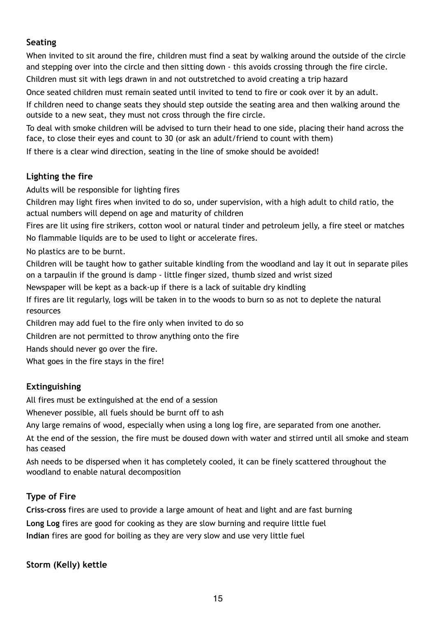## **Seating**

When invited to sit around the fire, children must find a seat by walking around the outside of the circle and stepping over into the circle and then sitting down - this avoids crossing through the fire circle. Children must sit with legs drawn in and not outstretched to avoid creating a trip hazard

Once seated children must remain seated until invited to tend to fire or cook over it by an adult.

If children need to change seats they should step outside the seating area and then walking around the outside to a new seat, they must not cross through the fire circle.

To deal with smoke children will be advised to turn their head to one side, placing their hand across the face, to close their eyes and count to 30 (or ask an adult/friend to count with them)

If there is a clear wind direction, seating in the line of smoke should be avoided!

## **Lighting the fire**

Adults will be responsible for lighting fires

Children may light fires when invited to do so, under supervision, with a high adult to child ratio, the actual numbers will depend on age and maturity of children

Fires are lit using fire strikers, cotton wool or natural tinder and petroleum jelly, a fire steel or matches No flammable liquids are to be used to light or accelerate fires.

No plastics are to be burnt.

Children will be taught how to gather suitable kindling from the woodland and lay it out in separate piles on a tarpaulin if the ground is damp - little finger sized, thumb sized and wrist sized

Newspaper will be kept as a back-up if there is a lack of suitable dry kindling

If fires are lit regularly, logs will be taken in to the woods to burn so as not to deplete the natural resources

Children may add fuel to the fire only when invited to do so

Children are not permitted to throw anything onto the fire

Hands should never go over the fire.

What goes in the fire stays in the fire!

## **Extinguishing**

All fires must be extinguished at the end of a session

Whenever possible, all fuels should be burnt off to ash

Any large remains of wood, especially when using a long log fire, are separated from one another.

At the end of the session, the fire must be doused down with water and stirred until all smoke and steam has ceased

Ash needs to be dispersed when it has completely cooled, it can be finely scattered throughout the woodland to enable natural decomposition

## **Type of Fire**

**Criss-cross** fires are used to provide a large amount of heat and light and are fast burning **Long Log** fires are good for cooking as they are slow burning and require little fuel **Indian** fires are good for boiling as they are very slow and use very little fuel

**Storm (Kelly) kettle**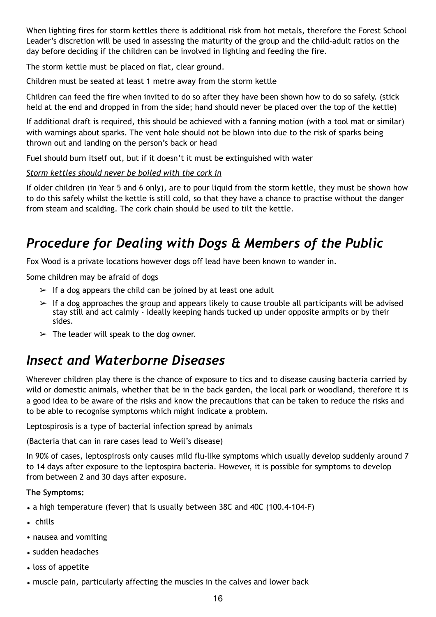When lighting fires for storm kettles there is additional risk from hot metals, therefore the Forest School Leader's discretion will be used in assessing the maturity of the group and the child-adult ratios on the day before deciding if the children can be involved in lighting and feeding the fire.

The storm kettle must be placed on flat, clear ground.

Children must be seated at least 1 metre away from the storm kettle

Children can feed the fire when invited to do so after they have been shown how to do so safely. (stick held at the end and dropped in from the side; hand should never be placed over the top of the kettle)

If additional draft is required, this should be achieved with a fanning motion (with a tool mat or similar) with warnings about sparks. The vent hole should not be blown into due to the risk of sparks being thrown out and landing on the person's back or head

Fuel should burn itself out, but if it doesn't it must be extinguished with water

*Storm kettles should never be boiled with the cork in*

If older children (in Year 5 and 6 only), are to pour liquid from the storm kettle, they must be shown how to do this safely whilst the kettle is still cold, so that they have a chance to practise without the danger from steam and scalding. The cork chain should be used to tilt the kettle.

# *Procedure for Dealing with Dogs & Members of the Public*

Fox Wood is a private locations however dogs off lead have been known to wander in.

Some children may be afraid of dogs

- $>$  If a dog appears the child can be joined by at least one adult
- $\geq$  If a dog approaches the group and appears likely to cause trouble all participants will be advised stay still and act calmly - ideally keeping hands tucked up under opposite armpits or by their sides.
- $\geq$  The leader will speak to the dog owner.

## *Insect and Waterborne Diseases*

Wherever children play there is the chance of exposure to tics and to disease causing bacteria carried by wild or domestic animals, whether that be in the back garden, the local park or woodland, therefore it is a good idea to be aware of the risks and know the precautions that can be taken to reduce the risks and to be able to recognise symptoms which might indicate a problem.

Leptospirosis is a type of bacterial infection spread by animals

(Bacteria that can in rare cases lead to Weil's disease)

In 90% of cases, leptospirosis only causes mild flu-like symptoms which usually develop suddenly around 7 to 14 days after exposure to the leptospira bacteria. However, it is possible for symptoms to develop from between 2 and 30 days after exposure.

## **The Symptoms:**

- a high temperature (fever) that is usually between 38C and 40C (100.4-104-F)
- chills
- nausea and vomiting
- sudden headaches
- loss of appetite
- muscle pain, particularly affecting the muscles in the calves and lower back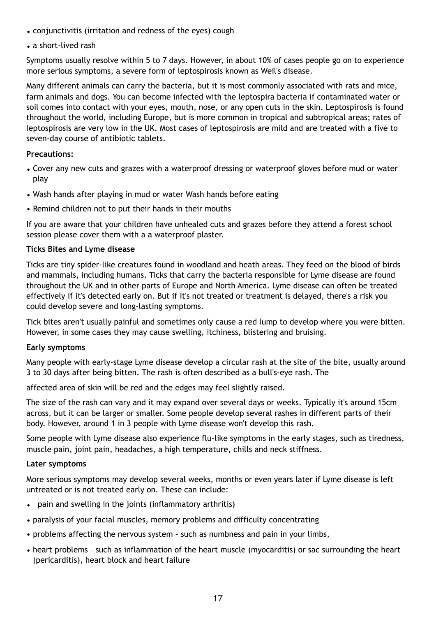- conjunctivitis (irritation and redness of the eyes) cough
- a short-lived rash

Symptoms usually resolve within 5 to 7 days. However, in about 10% of cases people go on to experience more serious symptoms, a severe form of leptospirosis known as Weil's disease.

Many different animals can carry the bacteria, but it is most commonly associated with rats and mice, farm animals and dogs. You can become infected with the leptospira bacteria if contaminated water or soil comes into contact with your eyes, mouth, nose, or any open cuts in the skin. Leptospirosis is found throughout the world, including Europe, but is more common in tropical and subtropical areas; rates of leptospirosis are very low in the UK. Most cases of leptospirosis are mild and are treated with a five to seven-day course of antibiotic tablets.

#### **Precautions:**

- Cover any new cuts and grazes with a waterproof dressing or waterproof gloves before mud or water play
- Wash hands after playing in mud or water Wash hands before eating
- Remind children not to put their hands in their mouths

If you are aware that your children have unhealed cuts and grazes before they attend a forest school session please cover them with a a waterproof plaster.

### **Ticks Bites and Lyme disease**

Ticks are tiny spider-like creatures found in woodland and heath areas. They feed on the blood of birds and mammals, including humans. Ticks that carry the bacteria responsible for Lyme disease are found throughout the UK and in other parts of Europe and North America. Lyme disease can often be treated effectively if it's detected early on. But if it's not treated or treatment is delayed, there's a risk you could develop severe and long-lasting symptoms.

Tick bites aren't usually painful and sometimes only cause a red lump to develop where you were bitten. However, in some cases they may cause swelling, itchiness, blistering and bruising.

#### **Early symptoms**

Many people with early-stage Lyme disease develop a circular rash at the site of the bite, usually around 3 to 30 days after being bitten. The rash is often described as a bull's-eye rash. The

affected area of skin will be red and the edges may feel slightly raised.

The size of the rash can vary and it may expand over several days or weeks. Typically it's around 15cm across, but it can be larger or smaller. Some people develop several rashes in different parts of their body. However, around 1 in 3 people with Lyme disease won't develop this rash.

Some people with Lyme disease also experience flu-like symptoms in the early stages, such as tiredness, muscle pain, joint pain, headaches, a high temperature, chills and neck stiffness.

#### **Later symptoms**

More serious symptoms may develop several weeks, months or even years later if Lyme disease is left untreated or is not treated early on. These can include:

- pain and swelling in the joints (inflammatory arthritis)
- paralysis of your facial muscles, memory problems and difficulty concentrating
- problems affecting the nervous system such as numbness and pain in your limbs,
- heart problems such as inflammation of the heart muscle (myocarditis) or sac surrounding the heart (pericarditis), heart block and heart failure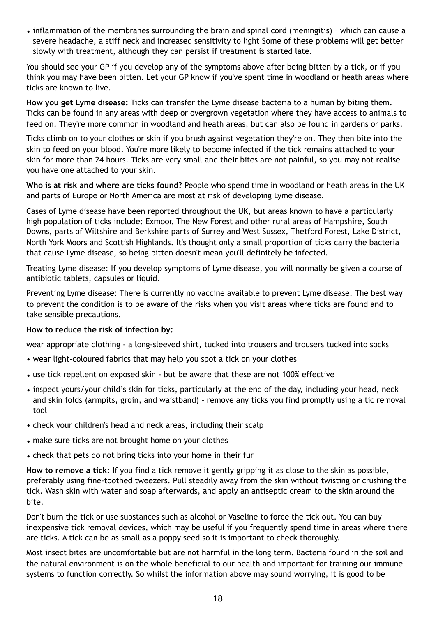• inflammation of the membranes surrounding the brain and spinal cord (meningitis) – which can cause a severe headache, a stiff neck and increased sensitivity to light Some of these problems will get better slowly with treatment, although they can persist if treatment is started late.

You should see your GP if you develop any of the symptoms above after being bitten by a tick, or if you think you may have been bitten. Let your GP know if you've spent time in woodland or heath areas where ticks are known to live.

**How you get Lyme disease:** Ticks can transfer the Lyme disease bacteria to a human by biting them. Ticks can be found in any areas with deep or overgrown vegetation where they have access to animals to feed on. They're more common in woodland and heath areas, but can also be found in gardens or parks.

Ticks climb on to your clothes or skin if you brush against vegetation they're on. They then bite into the skin to feed on your blood. You're more likely to become infected if the tick remains attached to your skin for more than 24 hours. Ticks are very small and their bites are not painful, so you may not realise you have one attached to your skin.

**Who is at risk and where are ticks found?** People who spend time in woodland or heath areas in the UK and parts of Europe or North America are most at risk of developing Lyme disease.

Cases of Lyme disease have been reported throughout the UK, but areas known to have a particularly high population of ticks include: Exmoor, The New Forest and other rural areas of Hampshire, South Downs, parts of Wiltshire and Berkshire parts of Surrey and West Sussex, Thetford Forest, Lake District, North York Moors and Scottish Highlands. It's thought only a small proportion of ticks carry the bacteria that cause Lyme disease, so being bitten doesn't mean you'll definitely be infected.

Treating Lyme disease: If you develop symptoms of Lyme disease, you will normally be given a course of antibiotic tablets, capsules or liquid.

Preventing Lyme disease: There is currently no vaccine available to prevent Lyme disease. The best way to prevent the condition is to be aware of the risks when you visit areas where ticks are found and to take sensible precautions.

#### **How to reduce the risk of infection by:**

wear appropriate clothing - a long-sleeved shirt, tucked into trousers and trousers tucked into socks

- wear light-coloured fabrics that may help you spot a tick on your clothes
- use tick repellent on exposed skin but be aware that these are not 100% effective
- inspect yours/your child's skin for ticks, particularly at the end of the day, including your head, neck and skin folds (armpits, groin, and waistband) – remove any ticks you find promptly using a tic removal tool
- check your children's head and neck areas, including their scalp
- make sure ticks are not brought home on your clothes
- check that pets do not bring ticks into your home in their fur

**How to remove a tick:** If you find a tick remove it gently gripping it as close to the skin as possible, preferably using fine-toothed tweezers. Pull steadily away from the skin without twisting or crushing the tick. Wash skin with water and soap afterwards, and apply an antiseptic cream to the skin around the bite.

Don't burn the tick or use substances such as alcohol or Vaseline to force the tick out. You can buy inexpensive tick removal devices, which may be useful if you frequently spend time in areas where there are ticks. A tick can be as small as a poppy seed so it is important to check thoroughly.

Most insect bites are uncomfortable but are not harmful in the long term. Bacteria found in the soil and the natural environment is on the whole beneficial to our health and important for training our immune systems to function correctly. So whilst the information above may sound worrying, it is good to be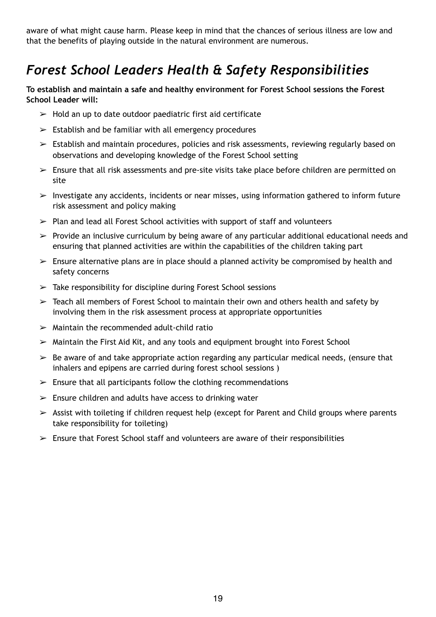aware of what might cause harm. Please keep in mind that the chances of serious illness are low and that the benefits of playing outside in the natural environment are numerous.

# *Forest School Leaders Health & Safety Responsibilities*

**To establish and maintain a safe and healthy environment for Forest School sessions the Forest School Leader will:** 

- $\triangleright$  Hold an up to date outdoor paediatric first aid certificate
- $\geq$  Establish and be familiar with all emergency procedures
- $\geq$  Establish and maintain procedures, policies and risk assessments, reviewing regularly based on observations and developing knowledge of the Forest School setting
- $\geq$  Ensure that all risk assessments and pre-site visits take place before children are permitted on site
- $\triangleright$  Investigate any accidents, incidents or near misses, using information gathered to inform future risk assessment and policy making
- $\geq$  Plan and lead all Forest School activities with support of staff and volunteers
- $\triangleright$  Provide an inclusive curriculum by being aware of any particular additional educational needs and ensuring that planned activities are within the capabilities of the children taking part
- $\geq$  Ensure alternative plans are in place should a planned activity be compromised by health and safety concerns
- $\geq$  Take responsibility for discipline during Forest School sessions
- $\geq$  Teach all members of Forest School to maintain their own and others health and safety by involving them in the risk assessment process at appropriate opportunities
- $\geq$  Maintain the recommended adult-child ratio
- $\triangleright$  Maintain the First Aid Kit, and any tools and equipment brought into Forest School
- $\triangleright$  Be aware of and take appropriate action regarding any particular medical needs, (ensure that inhalers and epipens are carried during forest school sessions )
- $\geq$  Ensure that all participants follow the clothing recommendations
- $\geq$  Ensure children and adults have access to drinking water
- $\geq$  Assist with toileting if children request help (except for Parent and Child groups where parents take responsibility for toileting)
- $\triangleright$  Ensure that Forest School staff and volunteers are aware of their responsibilities